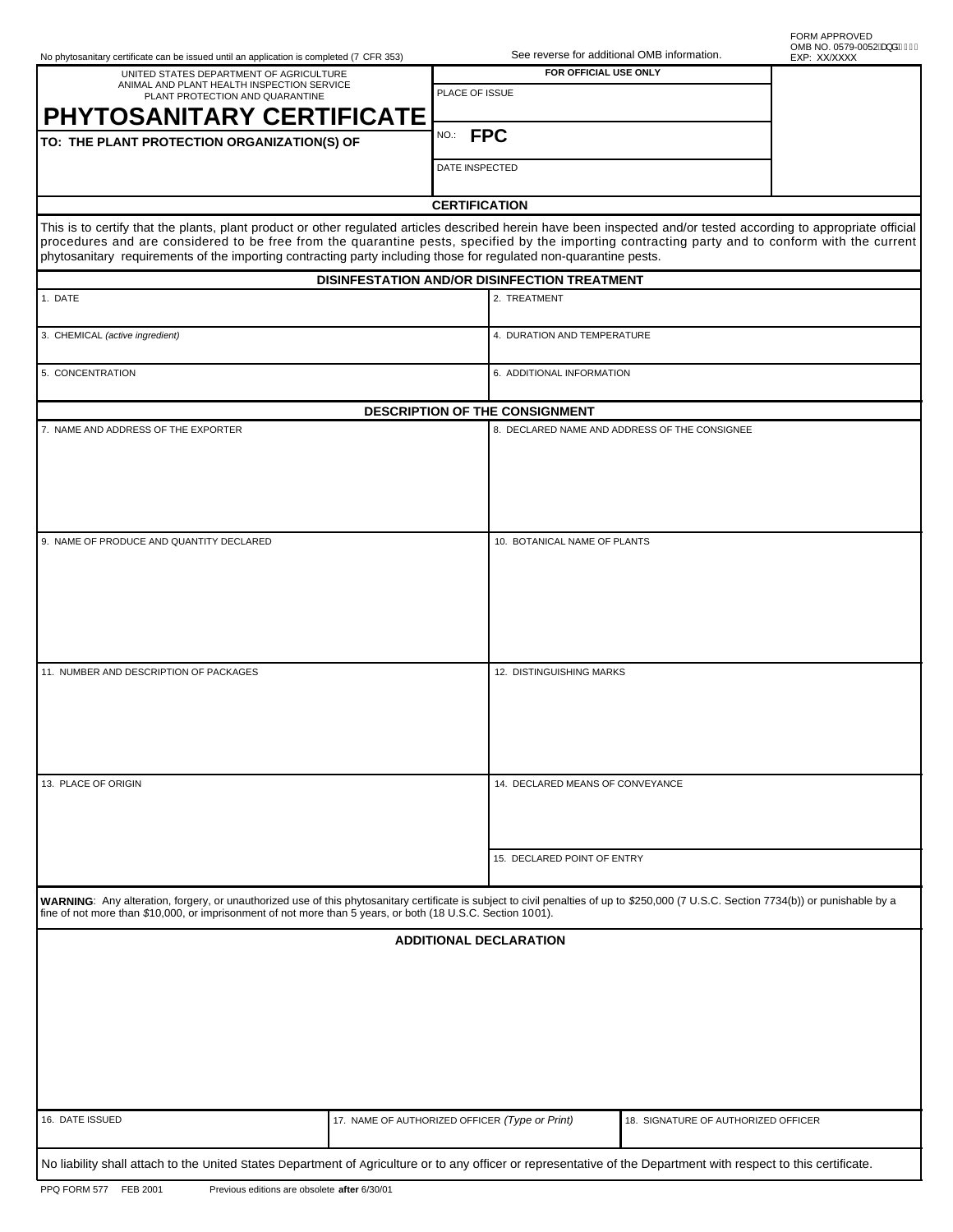|  | No phytosanitary certificate can be issued until an application is completed (7 CFR 353) |  |  |  |  |  |
|--|------------------------------------------------------------------------------------------|--|--|--|--|--|
|  |                                                                                          |  |  |  |  |  |

| UNITED STATES DEPARTMENT OF AGRICULTURE<br>ANIMAL AND PLANT HEALTH INSPECTION SERVICE                                                                                                                                                                                                                                                                                                                                                       |                      | FOR OFFICIAL USE ONLY                          |                                               |  |  |  |  |  |  |  |
|---------------------------------------------------------------------------------------------------------------------------------------------------------------------------------------------------------------------------------------------------------------------------------------------------------------------------------------------------------------------------------------------------------------------------------------------|----------------------|------------------------------------------------|-----------------------------------------------|--|--|--|--|--|--|--|
| PLANT PROTECTION AND QUARANTINE                                                                                                                                                                                                                                                                                                                                                                                                             | PLACE OF ISSUE       |                                                |                                               |  |  |  |  |  |  |  |
| <b>PHYTOSANITARY CERTIFICATE</b>                                                                                                                                                                                                                                                                                                                                                                                                            |                      |                                                |                                               |  |  |  |  |  |  |  |
| TO: THE PLANT PROTECTION ORGANIZATION(S) OF                                                                                                                                                                                                                                                                                                                                                                                                 | NO.: FPC             |                                                |                                               |  |  |  |  |  |  |  |
|                                                                                                                                                                                                                                                                                                                                                                                                                                             |                      | DATE INSPECTED                                 |                                               |  |  |  |  |  |  |  |
|                                                                                                                                                                                                                                                                                                                                                                                                                                             | <b>CERTIFICATION</b> |                                                |                                               |  |  |  |  |  |  |  |
| This is to certify that the plants, plant product or other regulated articles described herein have been inspected and/or tested according to appropriate official<br>procedures and are considered to be free from the quarantine pests, specified by the importing contracting party and to conform with the current<br>phytosanitary requirements of the importing contracting party including those for regulated non-quarantine pests. |                      |                                                |                                               |  |  |  |  |  |  |  |
| <b>DISINFESTATION AND/OR DISINFECTION TREATMENT</b>                                                                                                                                                                                                                                                                                                                                                                                         |                      |                                                |                                               |  |  |  |  |  |  |  |
| 1. DATE                                                                                                                                                                                                                                                                                                                                                                                                                                     |                      | 2. TREATMENT                                   |                                               |  |  |  |  |  |  |  |
| 3. CHEMICAL (active ingredient)                                                                                                                                                                                                                                                                                                                                                                                                             |                      | 4. DURATION AND TEMPERATURE                    |                                               |  |  |  |  |  |  |  |
| 5. CONCENTRATION                                                                                                                                                                                                                                                                                                                                                                                                                            |                      | 6. ADDITIONAL INFORMATION                      |                                               |  |  |  |  |  |  |  |
| DESCRIPTION OF THE CONSIGNMENT                                                                                                                                                                                                                                                                                                                                                                                                              |                      |                                                |                                               |  |  |  |  |  |  |  |
| 7. NAME AND ADDRESS OF THE EXPORTER                                                                                                                                                                                                                                                                                                                                                                                                         |                      |                                                | 8. DECLARED NAME AND ADDRESS OF THE CONSIGNEE |  |  |  |  |  |  |  |
| 9. NAME OF PRODUCE AND QUANTITY DECLARED                                                                                                                                                                                                                                                                                                                                                                                                    |                      | 10. BOTANICAL NAME OF PLANTS                   |                                               |  |  |  |  |  |  |  |
| 11. NUMBER AND DESCRIPTION OF PACKAGES                                                                                                                                                                                                                                                                                                                                                                                                      |                      | 12. DISTINGUISHING MARKS                       |                                               |  |  |  |  |  |  |  |
| 13. PLACE OF ORIGIN                                                                                                                                                                                                                                                                                                                                                                                                                         |                      | 14. DECLARED MEANS OF CONVEYANCE               |                                               |  |  |  |  |  |  |  |
|                                                                                                                                                                                                                                                                                                                                                                                                                                             |                      | 15. DECLARED POINT OF ENTRY                    |                                               |  |  |  |  |  |  |  |
| WARNING: Any alteration, forgery, or unauthorized use of this phytosanitary certificate is subject to civil penalties of up to \$250,000 (7 U.S.C. Section 7734(b)) or punishable by a<br>fine of not more than \$10,000, or impris                                                                                                                                                                                                         |                      |                                                |                                               |  |  |  |  |  |  |  |
| <b>ADDITIONAL DECLARATION</b>                                                                                                                                                                                                                                                                                                                                                                                                               |                      |                                                |                                               |  |  |  |  |  |  |  |
|                                                                                                                                                                                                                                                                                                                                                                                                                                             |                      |                                                |                                               |  |  |  |  |  |  |  |
| 16. DATE ISSUED                                                                                                                                                                                                                                                                                                                                                                                                                             |                      | 17. NAME OF AUTHORIZED OFFICER (Type or Print) | 18. SIGNATURE OF AUTHORIZED OFFICER           |  |  |  |  |  |  |  |
| No liability shall attach to the United States Department of Agriculture or to any officer or representative of the Department with respect to this certificate.                                                                                                                                                                                                                                                                            |                      |                                                |                                               |  |  |  |  |  |  |  |